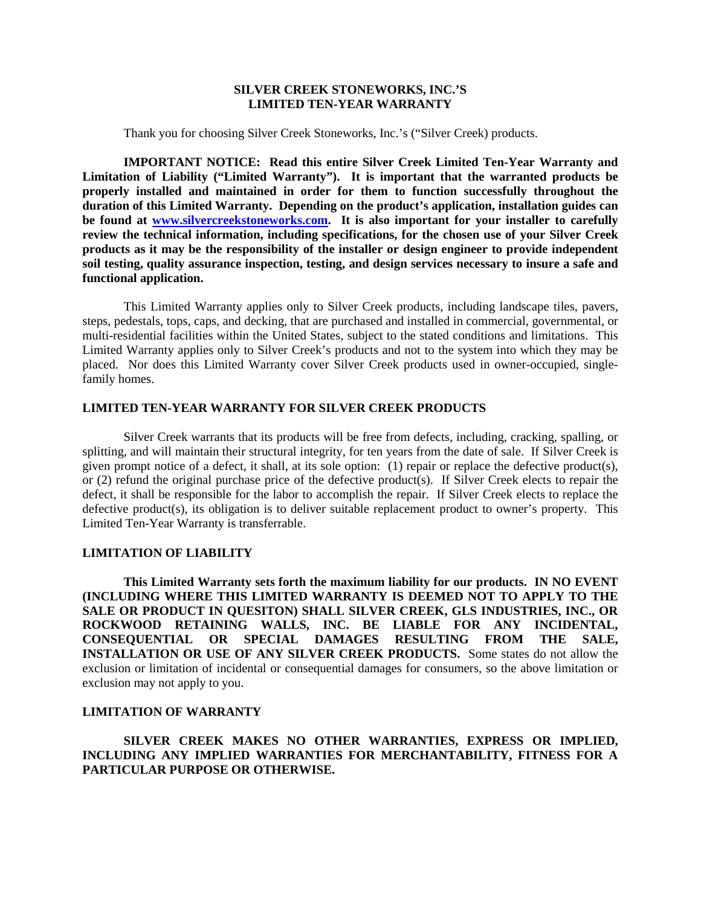#### **SILVER CREEK STONEWORKS, INC.'S LIMITED TEN-YEAR WARRANTY**

Thank you for choosing Silver Creek Stoneworks, Inc.'s ("Silver Creek) products.

**IMPORTANT NOTICE: Read this entire Silver Creek Limited Ten-Year Warranty and Limitation of Liability ("Limited Warranty"). It is important that the warranted products be properly installed and maintained in order for them to function successfully throughout the duration of this Limited Warranty. Depending on the product's application, installation guides can be found at [www.silvercreekstoneworks.com.](http://www.silvercreekstoneworks.com/) It is also important for your installer to carefully review the technical information, including specifications, for the chosen use of your Silver Creek products as it may be the responsibility of the installer or design engineer to provide independent soil testing, quality assurance inspection, testing, and design services necessary to insure a safe and functional application.**

This Limited Warranty applies only to Silver Creek products, including landscape tiles, pavers, steps, pedestals, tops, caps, and decking, that are purchased and installed in commercial, governmental, or multi-residential facilities within the United States, subject to the stated conditions and limitations. This Limited Warranty applies only to Silver Creek's products and not to the system into which they may be placed. Nor does this Limited Warranty cover Silver Creek products used in owner-occupied, singlefamily homes.

## **LIMITED TEN-YEAR WARRANTY FOR SILVER CREEK PRODUCTS**

Silver Creek warrants that its products will be free from defects, including, cracking, spalling, or splitting, and will maintain their structural integrity, for ten years from the date of sale. If Silver Creek is given prompt notice of a defect, it shall, at its sole option: (1) repair or replace the defective product(s), or (2) refund the original purchase price of the defective product(s). If Silver Creek elects to repair the defect, it shall be responsible for the labor to accomplish the repair. If Silver Creek elects to replace the defective product(s), its obligation is to deliver suitable replacement product to owner's property. This Limited Ten-Year Warranty is transferrable.

#### **LIMITATION OF LIABILITY**

**This Limited Warranty sets forth the maximum liability for our products. IN NO EVENT (INCLUDING WHERE THIS LIMITED WARRANTY IS DEEMED NOT TO APPLY TO THE SALE OR PRODUCT IN QUESITON) SHALL SILVER CREEK, GLS INDUSTRIES, INC., OR ROCKWOOD RETAINING WALLS, INC. BE LIABLE FOR ANY INCIDENTAL, CONSEQUENTIAL OR SPECIAL DAMAGES RESULTING FROM THE SALE, INSTALLATION OR USE OF ANY SILVER CREEK PRODUCTS.** Some states do not allow the exclusion or limitation of incidental or consequential damages for consumers, so the above limitation or exclusion may not apply to you.

### **LIMITATION OF WARRANTY**

**SILVER CREEK MAKES NO OTHER WARRANTIES, EXPRESS OR IMPLIED, INCLUDING ANY IMPLIED WARRANTIES FOR MERCHANTABILITY, FITNESS FOR A PARTICULAR PURPOSE OR OTHERWISE.**